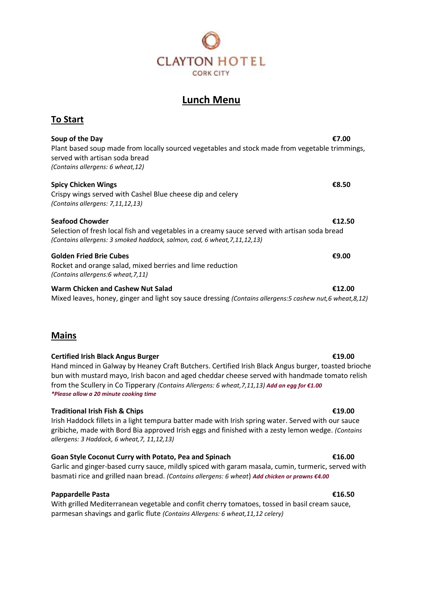

# **Lunch Menu**

# **To Start**

**Soup of the Day €7.00** Plant based soup made from locally sourced vegetables and stock made from vegetable trimmings, served with artisan soda bread *(Contains allergens: 6 wheat,12)*

| <b>Seafood Chowder</b>                                     | €12.50 |
|------------------------------------------------------------|--------|
| (Contains allergens: $7,11,12,13$ )                        |        |
| Crispy wings served with Cashel Blue cheese dip and celery |        |

**Spicy Chicken Wings €8.50**

Selection of fresh local fish and vegetables in a creamy sauce served with artisan soda bread *(Contains allergens: 3 smoked haddock, salmon, cod, 6 wheat,7,11,12,13)*

### **Golden Fried Brie Cubes €9.00**

Rocket and orange salad, mixed berries and lime reduction *(Contains allergens:6 wheat,7,11)*

### **Warm Chicken and Cashew Nut Salad €12.00**

Mixed leaves, honey, ginger and light soy sauce dressing *(Contains allergens:5 cashew nut,6 wheat,8,12)*

## **Mains**

### **Certified Irish Black Angus Burger €19.00**

Hand minced in Galway by Heaney Craft Butchers. Certified Irish Black Angus burger, toasted brioche bun with mustard mayo, Irish bacon and aged cheddar cheese served with handmade tomato relish from the Scullery in Co Tipperary *(Contains Allergens: 6 wheat,7,11,13) Add an egg for €1.00 \*Please allow a 20 minute cooking time*

### **Traditional Irish Fish & Chips €19.00**

Irish Haddock fillets in a light tempura batter made with Irish spring water. Served with our sauce gribiche, made with Bord Bia approved Irish eggs and finished with a zesty lemon wedge. *(Contains allergens: 3 Haddock, 6 wheat,7, 11,12,13)*

### **Goan Style Coconut Curry with Potato, Pea and Spinach €16.00**

Garlic and ginger-based curry sauce, mildly spiced with garam masala, cumin, turmeric, served with basmati rice and grilled naan bread. *(Contains allergens: 6 wheat*) *Add chicken or prawns €4.00*

### **Pappardelle Pasta €16.50**

With grilled Mediterranean vegetable and confit cherry tomatoes, tossed in basil cream sauce, parmesan shavings and garlic flute *(Contains Allergens: 6 wheat,11,12 celery)*